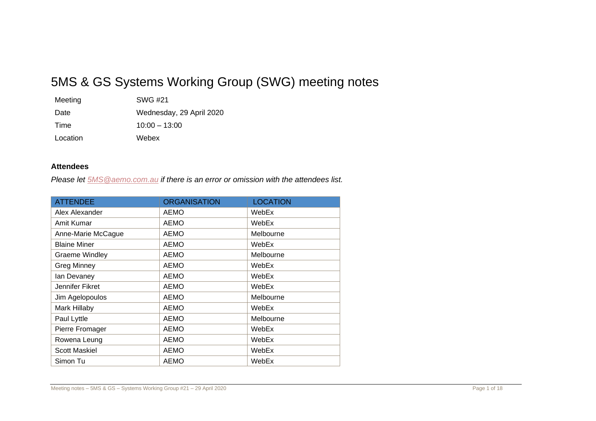# 5MS & GS Systems Working Group (SWG) meeting notes

| Meeting  | SWG #21                  |
|----------|--------------------------|
| Date     | Wednesday, 29 April 2020 |
| Time     | $10:00 - 13:00$          |
| Location | Webex                    |

# **Attendees**

*Please let [5MS@aemo.com.au](mailto:5MS@aemo.com.au) if there is an error or omission with the attendees list.*

| <b>ATTENDEE</b>       | <b>ORGANISATION</b> | <b>LOCATION</b> |
|-----------------------|---------------------|-----------------|
| Alex Alexander        | AEMO                | WebEx           |
| Amit Kumar            | AEMO                | WebEx           |
| Anne-Marie McCague    | AEMO                | Melbourne       |
| <b>Blaine Miner</b>   | AEMO                | WebEx           |
| <b>Graeme Windley</b> | AEMO                | Melbourne       |
| <b>Greg Minney</b>    | AEMO                | WebEx           |
| lan Devaney           | AEMO                | WebEx           |
| Jennifer Fikret       | <b>AEMO</b>         | WebEx           |
| Jim Agelopoulos       | AEMO                | Melbourne       |
| Mark Hillaby          | AEMO                | WebEx           |
| Paul Lyttle           | <b>AEMO</b>         | Melbourne       |
| Pierre Fromager       | AEMO                | WebEx           |
| Rowena Leung          | AEMO                | WebEx           |
| <b>Scott Maskiel</b>  | AEMO                | WebEx           |
| Simon Tu              | AEMO                | WebEx           |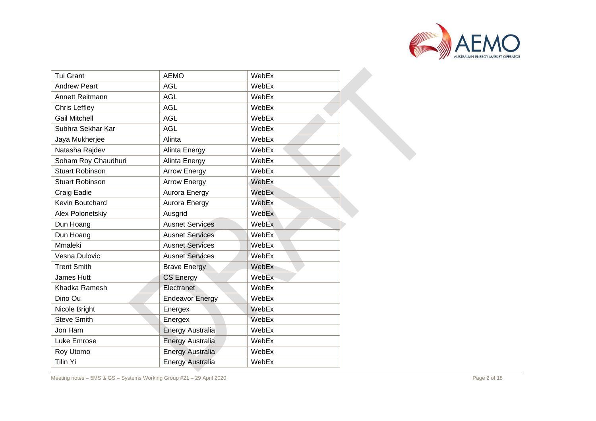

| <b>Tui Grant</b>       | <b>AEMO</b>             | WebEx |  |
|------------------------|-------------------------|-------|--|
| <b>Andrew Peart</b>    | <b>AGL</b>              | WebEx |  |
| Annett Reitmann        | <b>AGL</b>              | WebEx |  |
| <b>Chris Leffley</b>   | <b>AGL</b>              | WebEx |  |
| <b>Gail Mitchell</b>   | <b>AGL</b>              | WebEx |  |
| Subhra Sekhar Kar      | <b>AGL</b>              | WebEx |  |
| Jaya Mukherjee         | Alinta                  | WebEx |  |
| Natasha Rajdev         | Alinta Energy           | WebEx |  |
| Soham Roy Chaudhuri    | Alinta Energy           | WebEx |  |
| <b>Stuart Robinson</b> | <b>Arrow Energy</b>     | WebEx |  |
| <b>Stuart Robinson</b> | <b>Arrow Energy</b>     | WebEx |  |
| Craig Eadie            | Aurora Energy           | WebEx |  |
| Kevin Boutchard        | Aurora Energy           | WebEx |  |
| Alex Polonetskiy       | Ausgrid                 | WebEx |  |
| Dun Hoang              | <b>Ausnet Services</b>  | WebEx |  |
| Dun Hoang              | <b>Ausnet Services</b>  | WebEx |  |
| Mmaleki                | <b>Ausnet Services</b>  | WebEx |  |
| Vesna Dulovic          | <b>Ausnet Services</b>  | WebEx |  |
| <b>Trent Smith</b>     | <b>Brave Energy</b>     | WebEx |  |
| James Hutt             | <b>CS Energy</b>        | WebEx |  |
| Khadka Ramesh          | Electranet              | WebEx |  |
| Dino Ou                | <b>Endeavor Energy</b>  | WebEx |  |
| Nicole Bright          | Energex                 | WebEx |  |
| <b>Steve Smith</b>     | Energex                 | WebEx |  |
| Jon Ham                | Energy Australia        | WebEx |  |
| Luke Emrose            | <b>Energy Australia</b> | WebEx |  |
| Roy Utomo              | <b>Energy Australia</b> | WebEx |  |
| Tilin Yi               | <b>Energy Australia</b> | WebEx |  |

Meeting notes – 5MS & GS – Systems Working Group #21 – 29 April 2020 **Page 19th Control of Control of the Control**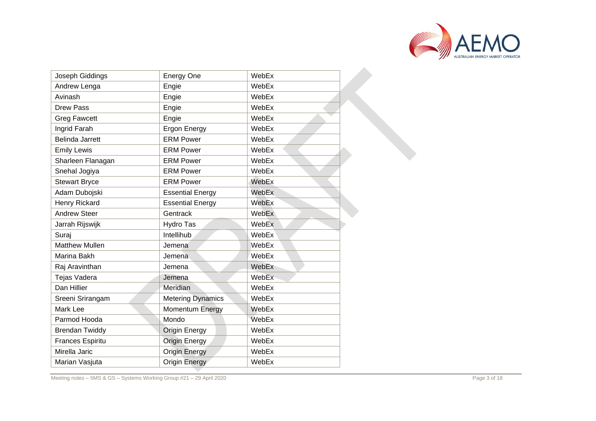

| Joseph Giddings         | <b>Energy One</b>        | WebEx |
|-------------------------|--------------------------|-------|
| Andrew Lenga            | Engie                    | WebEx |
| Avinash                 | Engie                    | WebEx |
| <b>Drew Pass</b>        | Engie                    | WebEx |
| <b>Greg Fawcett</b>     | Engie                    | WebEx |
| Ingrid Farah            | <b>Ergon Energy</b>      | WebEx |
| <b>Belinda Jarrett</b>  | <b>ERM Power</b>         | WebEx |
| <b>Emily Lewis</b>      | <b>ERM Power</b>         | WebEx |
| Sharleen Flanagan       | <b>ERM Power</b>         | WebEx |
| Snehal Jogiya           | <b>ERM Power</b>         | WebEx |
| <b>Stewart Bryce</b>    | <b>ERM Power</b>         | WebEx |
| Adam Dubojski           | <b>Essential Energy</b>  | WebEx |
| Henry Rickard           | <b>Essential Energy</b>  | WebEx |
| <b>Andrew Steer</b>     | Gentrack                 | WebEx |
| Jarrah Rijswijk         | Hydro Tas                | WebEx |
| Suraj                   | Intellihub               | WebEx |
| <b>Matthew Mullen</b>   | Jemena                   | WebEx |
| Marina Bakh             | Jemena                   | WebEx |
| Raj Aravinthan          | Jemena                   | WebEx |
| Tejas Vadera            | Jemena                   | WebEx |
| Dan Hillier             | Meridian                 | WebEx |
| Sreeni Srirangam        | <b>Metering Dynamics</b> | WebEx |
| Mark Lee                | Momentum Energy          | WebEx |
| Parmod Hooda            | Mondo                    | WebEx |
| <b>Brendan Twiddy</b>   | <b>Origin Energy</b>     | WebEx |
| <b>Frances Espiritu</b> | <b>Origin Energy</b>     | WebEx |
| Mirella Jaric           | <b>Origin Energy</b>     | WebEx |
| Marian Vasjuta          | Origin Energy            | WebEx |

Meeting notes – 5MS & GS – Systems Working Group #21 – 29 April 2020 **Page 19th Control of Control of the Control**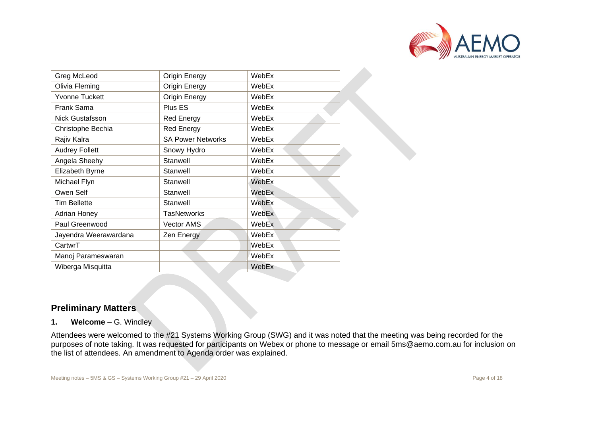

| Greg McLeod            | Origin Energy            | WebEx        |
|------------------------|--------------------------|--------------|
| Olivia Fleming         | Origin Energy            | WebEx        |
| Yvonne Tuckett         | Origin Energy            | WebEx        |
| Frank Sama             | Plus ES                  | WebEx        |
| <b>Nick Gustafsson</b> | <b>Red Energy</b>        | WebEx        |
| Christophe Bechia      | <b>Red Energy</b>        | WebEx        |
| Rajiv Kalra            | <b>SA Power Networks</b> | WebEx        |
| <b>Audrey Follett</b>  | Snowy Hydro              | WebEx        |
| Angela Sheehy          | Stanwell                 | WebEx        |
| Elizabeth Byrne        | Stanwell                 | WebEx        |
| Michael Flyn           | Stanwell                 | WebEx        |
| Owen Self              | Stanwell                 | WebEx        |
| <b>Tim Bellette</b>    | Stanwell                 | WebEx        |
| Adrian Honey           | <b>TasNetworks</b>       | WebEx        |
| Paul Greenwood         | Vector AMS               | WebEx        |
| Jayendra Weerawardana  | Zen Energy               | <b>WebEx</b> |
| CartwrT                |                          | WebEx        |
| Manoj Parameswaran     |                          | WebEx        |
| Wiberga Misquitta      |                          | WebEx        |

# **Preliminary Matters**

## **1. Welcome** – G. Windley

Attendees were welcomed to the #21 Systems Working Group (SWG) and it was noted that the meeting was being recorded for the purposes of note taking. It was requested for participants on Webex or phone to message or email [5ms@aemo.com.au](mailto:5ms@aemo.com.au) for inclusion on the list of attendees. An amendment to Agenda order was explained.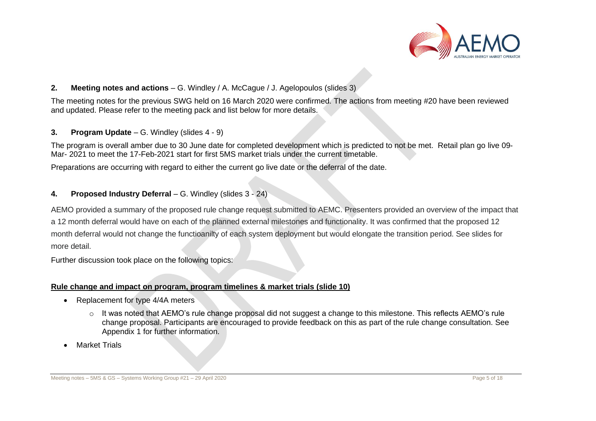

# **2. Meeting notes and actions** – G. Windley / A. McCague / J. Agelopoulos (slides 3)

The meeting notes for the previous SWG held on 16 March 2020 were confirmed. The actions from meeting #20 have been reviewed and updated. Please refer to the meeting pack and list below for more details.

## **3. Program Update** – G. Windley (slides 4 - 9)

The program is overall amber due to 30 June date for completed development which is predicted to not be met. Retail plan go live 09- Mar- 2021 to meet the 17-Feb-2021 start for first 5MS market trials under the current timetable.

Preparations are occurring with regard to either the current go live date or the deferral of the date.

# **4. Proposed Industry Deferral** – G. Windley (slides 3 - 24)

AEMO provided a summary of the proposed rule change request submitted to AEMC. Presenters provided an overview of the impact that a 12 month deferral would have on each of the planned external milestones and functionality. It was confirmed that the proposed 12 month deferral would not change the functioanilty of each system deployment but would elongate the transition period. See slides for more detail.

Further discussion took place on the following topics:

# **Rule change and impact on program, program timelines & market trials (slide 10)**

- Replacement for type 4/4A meters
	- o It was noted that AEMO's rule change proposal did not suggest a change to this milestone. This reflects AEMO's rule change proposal. Participants are encouraged to provide feedback on this as part of the rule change consultation. See Appendix 1 for further information.
- Market Trials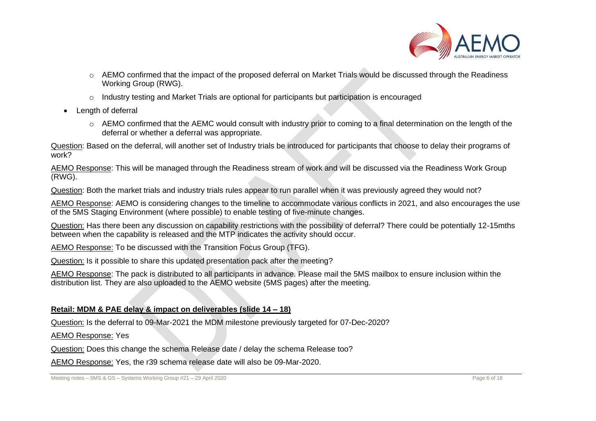

- o AEMO confirmed that the impact of the proposed deferral on Market Trials would be discussed through the Readiness Working Group (RWG).
- o Industry testing and Market Trials are optional for participants but participation is encouraged
- Length of deferral
	- o AEMO confirmed that the AEMC would consult with industry prior to coming to a final determination on the length of the deferral or whether a deferral was appropriate.

Question: Based on the deferral, will another set of Industry trials be introduced for participants that choose to delay their programs of work?

AEMO Response: This will be managed through the Readiness stream of work and will be discussed via the Readiness Work Group (RWG).

Question: Both the market trials and industry trials rules appear to run parallel when it was previously agreed they would not?

AEMO Response: AEMO is considering changes to the timeline to accommodate various conflicts in 2021, and also encourages the use of the 5MS Staging Environment (where possible) to enable testing of five-minute changes.

Question: Has there been any discussion on capability restrictions with the possibility of deferral? There could be potentially 12-15mths between when the capability is released and the MTP indicates the activity should occur.

AEMO Response: To be discussed with the Transition Focus Group (TFG).

Question: Is it possible to share this updated presentation pack after the meeting?

AEMO Response: The pack is distributed to all participants in advance. Please mail the 5MS mailbox to ensure inclusion within the distribution list. They are also uploaded to the AEMO website (5MS pages) after the meeting.

# **Retail: MDM & PAE delay & impact on deliverables (slide 14 – 18)**

Question: Is the deferral to 09-Mar-2021 the MDM milestone previously targeted for 07-Dec-2020?

AEMO Response: Yes

Question: Does this change the schema Release date / delay the schema Release too?

AEMO Response: Yes, the r39 schema release date will also be 09-Mar-2020.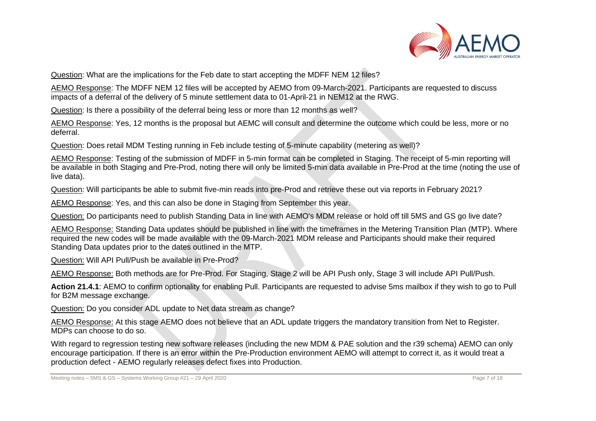

Question: What are the implications for the Feb date to start accepting the MDFF NEM 12 files?

AEMO Response: The MDFF NEM 12 files will be accepted by AEMO from 09-March-2021. Participants are requested to discuss impacts of a deferral of the delivery of 5 minute settlement data to 01-April-21 in NEM12 at the RWG.

Question: Is there a possibility of the deferral being less or more than 12 months as well?

AEMO Response: Yes, 12 months is the proposal but AEMC will consult and determine the outcome which could be less, more or no deferral.

Question: Does retail MDM Testing running in Feb include testing of 5-minute capability (metering as well)?

AEMO Response: Testing of the submission of MDFF in 5-min format can be completed in Staging. The receipt of 5-min reporting will be available in both Staging and Pre-Prod, noting there will only be limited 5-min data available in Pre-Prod at the time (noting the use of live data).

Question: Will participants be able to submit five-min reads into pre-Prod and retrieve these out via reports in February 2021?

AEMO Response: Yes, and this can also be done in Staging from September this year.

Question: Do participants need to publish Standing Data in line with AEMO's MDM release or hold off till 5MS and GS go live date?

AEMO Response: Standing Data updates should be published in line with the timeframes in the Metering Transition Plan (MTP). Where required the new codes will be made available with the 09-March-2021 MDM release and Participants should make their required Standing Data updates prior to the dates outlined in the MTP.

Question: Will API Pull/Push be available in Pre-Prod?

AEMO Response: Both methods are for Pre-Prod. For Staging, Stage 2 will be API Push only, Stage 3 will include API Pull/Push.

**Action 21.4.1**: AEMO to confirm optionality for enabling Pull. Participants are requested to advise 5ms mailbox if they wish to go to Pull for B2M message exchange.

Question: Do you consider ADL update to Net data stream as change?

AEMO Response: At this stage AEMO does not believe that an ADL update triggers the mandatory transition from Net to Register. MDPs can choose to do so.

With regard to regression testing new software releases (including the new MDM & PAE solution and the r39 schema) AEMO can only encourage participation. If there is an error within the Pre-Production environment AEMO will attempt to correct it, as it would treat a production defect - AEMO regularly releases defect fixes into Production.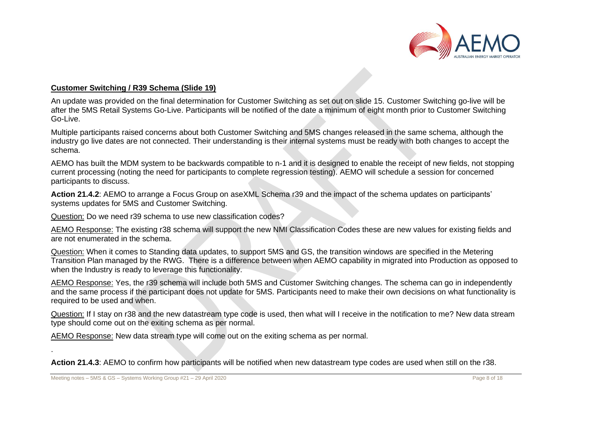

#### **Customer Switching / R39 Schema (Slide 19)**

An update was provided on the final determination for Customer Switching as set out on slide 15. Customer Switching go-live will be after the 5MS Retail Systems Go-Live. Participants will be notified of the date a minimum of eight month prior to Customer Switching Go-Live.

Multiple participants raised concerns about both Customer Switching and 5MS changes released in the same schema, although the industry go live dates are not connected. Their understanding is their internal systems must be ready with both changes to accept the schema.

AEMO has built the MDM system to be backwards compatible to n-1 and it is designed to enable the receipt of new fields, not stopping current processing (noting the need for participants to complete regression testing). AEMO will schedule a session for concerned participants to discuss.

**Action 21.4.2**: AEMO to arrange a Focus Group on aseXML Schema r39 and the impact of the schema updates on participants' systems updates for 5MS and Customer Switching.

Question: Do we need r39 schema to use new classification codes?

AEMO Response: The existing r38 schema will support the new NMI Classification Codes these are new values for existing fields and are not enumerated in the schema.

Question: When it comes to Standing data updates, to support 5MS and GS, the transition windows are specified in the Metering Transition Plan managed by the RWG. There is a difference between when AEMO capability in migrated into Production as opposed to when the Industry is ready to leverage this functionality.

AEMO Response: Yes, the r39 schema will include both 5MS and Customer Switching changes. The schema can go in independently and the same process if the participant does not update for 5MS. Participants need to make their own decisions on what functionality is required to be used and when.

Question: If I stay on r38 and the new datastream type code is used, then what will I receive in the notification to me? New data stream type should come out on the exiting schema as per normal.

AEMO Response: New data stream type will come out on the exiting schema as per normal.

**Action 21.4.3**: AEMO to confirm how participants will be notified when new datastream type codes are used when still on the r38.

.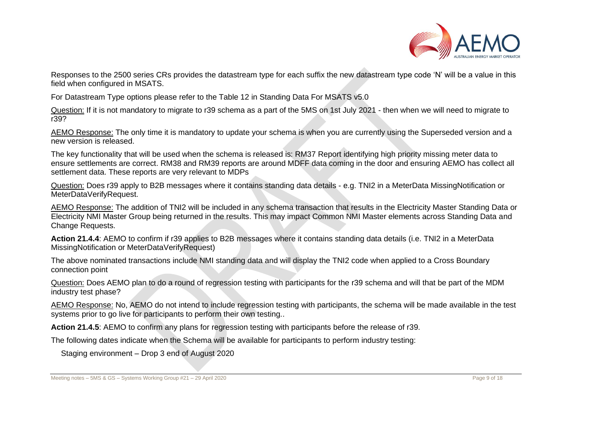

Responses to the 2500 series CRs provides the datastream type for each suffix the new datastream type code 'N' will be a value in this field when configured in MSATS.

For Datastream Type options please refer to the Table 12 in Standing Data For MSATS v5.0

Question: If it is not mandatory to migrate to r39 schema as a part of the 5MS on 1st July 2021 - then when we will need to migrate to r39?

AEMO Response: The only time it is mandatory to update your schema is when you are currently using the Superseded version and a new version is released.

The key functionality that will be used when the schema is released is: RM37 Report identifying high priority missing meter data to ensure settlements are correct. RM38 and RM39 reports are around MDFF data coming in the door and ensuring AEMO has collect all settlement data. These reports are very relevant to MDPs

Question: Does r39 apply to B2B messages where it contains standing data details - e.g. TNI2 in a MeterData MissingNotification or MeterDataVerifyRequest.

AEMO Response: The addition of TNI2 will be included in any schema transaction that results in the Electricity Master Standing Data or Electricity NMI Master Group being returned in the results. This may impact Common NMI Master elements across Standing Data and Change Requests.

**Action 21.4.4**: AEMO to confirm if r39 applies to B2B messages where it contains standing data details (i.e. TNI2 in a MeterData MissingNotification or MeterDataVerifyRequest)

The above nominated transactions include NMI standing data and will display the TNI2 code when applied to a Cross Boundary connection point

Question: Does AEMO plan to do a round of regression testing with participants for the r39 schema and will that be part of the MDM industry test phase?

AEMO Response: No, AEMO do not intend to include regression testing with participants, the schema will be made available in the test systems prior to go live for participants to perform their own testing...

**Action 21.4.5**: AEMO to confirm any plans for regression testing with participants before the release of r39.

The following dates indicate when the Schema will be available for participants to perform industry testing:

Staging environment – Drop 3 end of August 2020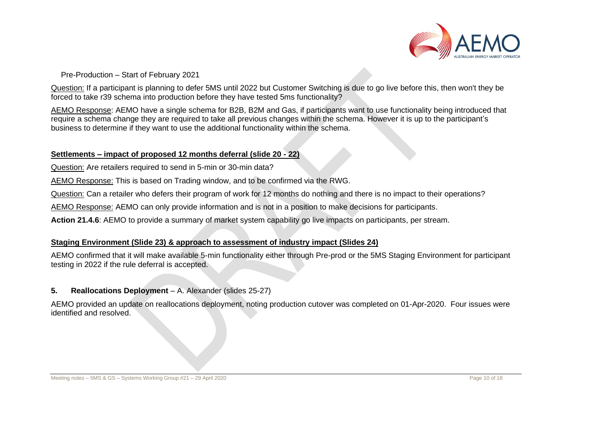

Pre-Production – Start of February 2021

Question: If a participant is planning to defer 5MS until 2022 but Customer Switching is due to go live before this, then won't they be forced to take r39 schema into production before they have tested 5ms functionality?

AEMO Response: AEMO have a single schema for B2B, B2M and Gas, if participants want to use functionality being introduced that require a schema change they are required to take all previous changes within the schema. However it is up to the participant's business to determine if they want to use the additional functionality within the schema.

# **Settlements – impact of proposed 12 months deferral (slide 20 - 22)**

Question: Are retailers required to send in 5-min or 30-min data?

AEMO Response: This is based on Trading window, and to be confirmed via the RWG.

Question: Can a retailer who defers their program of work for 12 months do nothing and there is no impact to their operations?

AEMO Response: AEMO can only provide information and is not in a position to make decisions for participants.

**Action 21.4.6**: AEMO to provide a summary of market system capability go live impacts on participants, per stream.

# **Staging Environment (Slide 23) & approach to assessment of industry impact (Slides 24)**

AEMO confirmed that it will make available 5-min functionality either through Pre-prod or the 5MS Staging Environment for participant testing in 2022 if the rule deferral is accepted.

# **5. Reallocations Deployment** – A. Alexander (slides 25-27)

AEMO provided an update on reallocations deployment, noting production cutover was completed on 01-Apr-2020. Four issues were identified and resolved.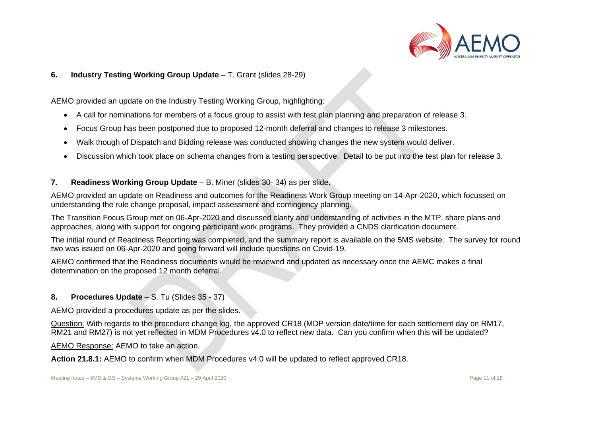

# **6. Industry Testing Working Group Update** – T. Grant (slides 28-29)

AEMO provided an update on the Industry Testing Working Group, highlighting:

- A call for nominations for members of a focus group to assist with test plan planning and preparation of release 3.
- Focus Group has been postponed due to proposed 12-month deferral and changes to release 3 milestones.
- Walk though of Dispatch and Bidding release was conducted showing changes the new system would deliver.
- Discussion which took place on schema changes from a testing perspective. Detail to be put into the test plan for release 3.

# **7. Readiness Working Group Update** – B. Miner (slides 30- 34) as per slide.

AEMO provided an update on Readiness and outcomes for the Readiness Work Group meeting on 14-Apr-2020, which focussed on understanding the rule change proposal, impact assessment and contingency planning.

The Transition Focus Group met on 06-Apr-2020 and discussed clarity and understanding of activities in the MTP, share plans and approaches, along with support for ongoing participant work programs. They provided a CNDS clarification document.

The initial round of Readiness Reporting was completed, and the summary report is available on the 5MS website. The survey for round two was issued on 06-Apr-2020 and going forward will include questions on Covid-19.

AEMO confirmed that the Readiness documents would be reviewed and updated as necessary once the AEMC makes a final determination on the proposed 12 month deferral.

# 8. **Procedures Update – S. Tu (Slides 35 - 37)**

AEMO provided a procedures update as per the slides.

Question: With regards to the procedure change log, the approved CR18 (MDP version date/time for each settlement day on RM17, RM21 and RM27) is not yet reflected in MDM Procedures v4.0 to reflect new data. Can you confirm when this will be updated?

AEMO Response: AEMO to take an action.

**Action 21.8.1:** AEMO to confirm when MDM Procedures v4.0 will be updated to reflect approved CR18.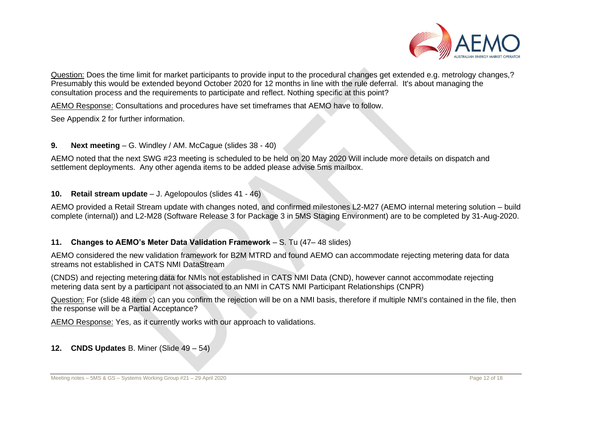

Question: Does the time limit for market participants to provide input to the procedural changes get extended e.g. metrology changes,? Presumably this would be extended beyond October 2020 for 12 months in line with the rule deferral. It's about managing the consultation process and the requirements to participate and reflect. Nothing specific at this point?

AEMO Response: Consultations and procedures have set timeframes that AEMO have to follow.

See Appendix 2 for further information.

# **9. Next meeting** – G. Windley / AM. McCague (slides 38 - 40)

AEMO noted that the next SWG #23 meeting is scheduled to be held on 20 May 2020 Will include more details on dispatch and settlement deployments. Any other agenda items to be added please advise 5ms mailbox.

# **10. Retail stream update** – J. Agelopoulos (slides 41 - 46)

AEMO provided a Retail Stream update with changes noted, and confirmed milestones L2-M27 (AEMO internal metering solution – build complete (internal)) and L2-M28 (Software Release 3 for Package 3 in 5MS Staging Environment) are to be completed by 31-Aug-2020.

# **11. Changes to AEMO's Meter Data Validation Framework** – S. Tu (47– 48 slides)

AEMO considered the new validation framework for B2M MTRD and found AEMO can accommodate rejecting metering data for data streams not established in CATS NMI DataStream

(CNDS) and rejecting metering data for NMIs not established in CATS NMI Data (CND), however cannot accommodate rejecting metering data sent by a participant not associated to an NMI in CATS NMI Participant Relationships (CNPR)

Question: For (slide 48 item c) can you confirm the rejection will be on a NMI basis, therefore if multiple NMI's contained in the file, then the response will be a Partial Acceptance?

AEMO Response: Yes, as it currently works with our approach to validations.

# **12. CNDS Updates** B. Miner (Slide 49 – 54)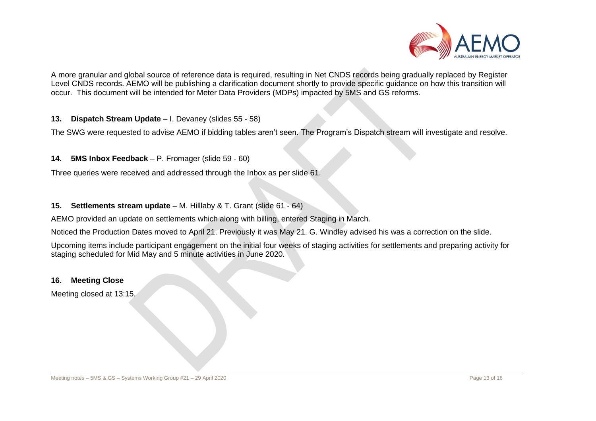

A more granular and global source of reference data is required, resulting in Net CNDS records being gradually replaced by Register Level CNDS records. AEMO will be publishing a clarification document shortly to provide specific guidance on how this transition will occur. This document will be intended for Meter Data Providers (MDPs) impacted by 5MS and GS reforms.

**13. Dispatch Stream Update** – I. Devaney (slides 55 - 58)

The SWG were requested to advise AEMO if bidding tables aren't seen. The Program's Dispatch stream will investigate and resolve.

#### **14. 5MS Inbox Feedback** – P. Fromager (slide 59 - 60)

Three queries were received and addressed through the Inbox as per slide 61.

#### **15. Settlements stream update** – M. Hilllaby & T. Grant (slide 61 - 64)

AEMO provided an update on settlements which along with billing, entered Staging in March.

Noticed the Production Dates moved to April 21. Previously it was May 21. G. Windley advised his was a correction on the slide.

Upcoming items include participant engagement on the initial four weeks of staging activities for settlements and preparing activity for staging scheduled for Mid May and 5 minute activities in June 2020.

#### **16. Meeting Close**

Meeting closed at 13:15.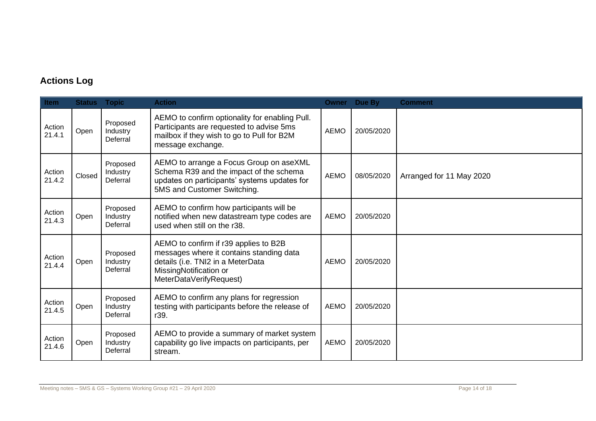# **Actions Log**

| Item             | <b>Status Topic</b> |                                  | <b>Action</b>                                                                                                                                                               |             | Owner Due By | <b>Comment</b>           |
|------------------|---------------------|----------------------------------|-----------------------------------------------------------------------------------------------------------------------------------------------------------------------------|-------------|--------------|--------------------------|
| Action<br>21.4.1 | Open                | Proposed<br>Industry<br>Deferral | AEMO to confirm optionality for enabling Pull.<br>Participants are requested to advise 5ms<br>mailbox if they wish to go to Pull for B2M<br>message exchange.               | <b>AEMO</b> | 20/05/2020   |                          |
| Action<br>21.4.2 | Closed              | Proposed<br>Industry<br>Deferral | AEMO to arrange a Focus Group on aseXML<br>Schema R39 and the impact of the schema<br>updates on participants' systems updates for<br>5MS and Customer Switching.           | <b>AEMO</b> | 08/05/2020   | Arranged for 11 May 2020 |
| Action<br>21.4.3 | Open                | Proposed<br>Industry<br>Deferral | AEMO to confirm how participants will be<br>notified when new datastream type codes are<br>used when still on the r38.                                                      | <b>AEMO</b> | 20/05/2020   |                          |
| Action<br>21.4.4 | Open                | Proposed<br>Industry<br>Deferral | AEMO to confirm if r39 applies to B2B<br>messages where it contains standing data<br>details (i.e. TNI2 in a MeterData<br>MissingNotification or<br>MeterDataVerifyRequest) | <b>AEMO</b> | 20/05/2020   |                          |
| Action<br>21.4.5 | Open                | Proposed<br>Industry<br>Deferral | AEMO to confirm any plans for regression<br>testing with participants before the release of<br>r39.                                                                         | <b>AEMO</b> | 20/05/2020   |                          |
| Action<br>21.4.6 | Open                | Proposed<br>Industry<br>Deferral | AEMO to provide a summary of market system<br>capability go live impacts on participants, per<br>stream.                                                                    | <b>AEMO</b> | 20/05/2020   |                          |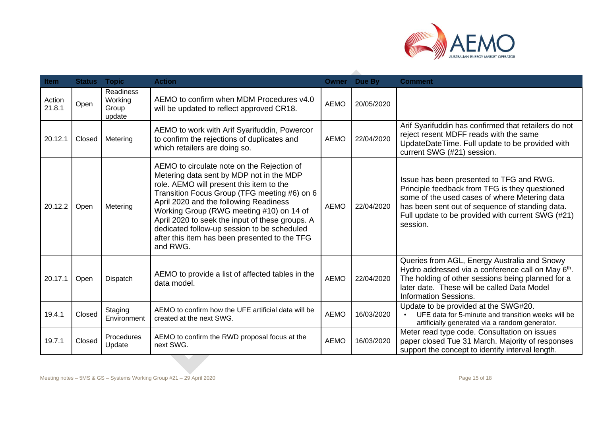

| Item             | <b>Status</b> | <b>Topic</b>                            | <b>Action</b>                                                                                                                                                                                                                                                                                                                                                                                                                           | Owner       | Due By     | <b>Comment</b>                                                                                                                                                                                                                                                  |
|------------------|---------------|-----------------------------------------|-----------------------------------------------------------------------------------------------------------------------------------------------------------------------------------------------------------------------------------------------------------------------------------------------------------------------------------------------------------------------------------------------------------------------------------------|-------------|------------|-----------------------------------------------------------------------------------------------------------------------------------------------------------------------------------------------------------------------------------------------------------------|
| Action<br>21.8.1 | Open          | Readiness<br>Working<br>Group<br>update | AEMO to confirm when MDM Procedures v4.0<br>will be updated to reflect approved CR18.                                                                                                                                                                                                                                                                                                                                                   | <b>AEMO</b> | 20/05/2020 |                                                                                                                                                                                                                                                                 |
| 20.12.1          | Closed        | Metering                                | AEMO to work with Arif Syarifuddin, Powercor<br>to confirm the rejections of duplicates and<br>which retailers are doing so.                                                                                                                                                                                                                                                                                                            | <b>AEMO</b> | 22/04/2020 | Arif Syarifuddin has confirmed that retailers do not<br>reject resent MDFF reads with the same<br>UpdateDateTime. Full update to be provided with<br>current SWG (#21) session.                                                                                 |
| 20.12.2          | Open          | Metering                                | AEMO to circulate note on the Rejection of<br>Metering data sent by MDP not in the MDP<br>role. AEMO will present this item to the<br>Transition Focus Group (TFG meeting #6) on 6<br>April 2020 and the following Readiness<br>Working Group (RWG meeting #10) on 14 of<br>April 2020 to seek the input of these groups. A<br>dedicated follow-up session to be scheduled<br>after this item has been presented to the TFG<br>and RWG. | <b>AEMO</b> | 22/04/2020 | Issue has been presented to TFG and RWG.<br>Principle feedback from TFG is they questioned<br>some of the used cases of where Metering data<br>has been sent out of sequence of standing data.<br>Full update to be provided with current SWG (#21)<br>session. |
| 20.17.1          | Open          | Dispatch                                | AEMO to provide a list of affected tables in the<br>data model.                                                                                                                                                                                                                                                                                                                                                                         | <b>AEMO</b> | 22/04/2020 | Queries from AGL, Energy Australia and Snowy<br>Hydro addressed via a conference call on May 6th.<br>The holding of other sessions being planned for a<br>later date. These will be called Data Model<br><b>Information Sessions.</b>                           |
| 19.4.1           | Closed        | Staging<br>Environment                  | AEMO to confirm how the UFE artificial data will be<br>created at the next SWG.                                                                                                                                                                                                                                                                                                                                                         | <b>AEMO</b> | 16/03/2020 | Update to be provided at the SWG#20.<br>UFE data for 5-minute and transition weeks will be<br>$\bullet$<br>artificially generated via a random generator.                                                                                                       |
| 19.7.1           | Closed        | Procedures<br>Update                    | AEMO to confirm the RWD proposal focus at the<br>next SWG.                                                                                                                                                                                                                                                                                                                                                                              | <b>AEMO</b> | 16/03/2020 | Meter read type code. Consultation on issues<br>paper closed Tue 31 March. Majority of responses<br>support the concept to identify interval length.                                                                                                            |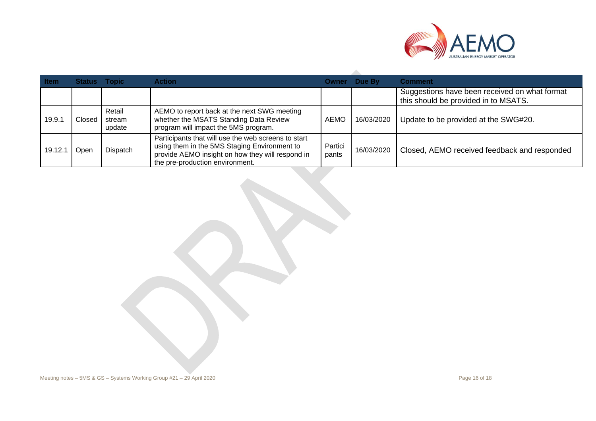

| <b>Item</b> | <b>Status Topic</b> |                            | <b>Action</b>                                                                                                                                                                              |                  | <b>Owner</b> Due By | <b>Comment</b>                                                                        |
|-------------|---------------------|----------------------------|--------------------------------------------------------------------------------------------------------------------------------------------------------------------------------------------|------------------|---------------------|---------------------------------------------------------------------------------------|
|             |                     |                            |                                                                                                                                                                                            |                  |                     | Suggestions have been received on what format<br>this should be provided in to MSATS. |
| 19.9.7      | Closed              | Retail<br>stream<br>update | AEMO to report back at the next SWG meeting<br>whether the MSATS Standing Data Review<br>program will impact the 5MS program.                                                              | AEMC             | 16/03/2020          | Update to be provided at the SWG#20.                                                  |
| 19.12.1     | Jpen                | Dispatch                   | Participants that will use the web screens to start<br>using them in the 5MS Staging Environment to<br>provide AEMO insight on how they will respond in<br>the pre-production environment. | Partici<br>pants | 16/03/2020          | Closed, AEMO received feedback and responded                                          |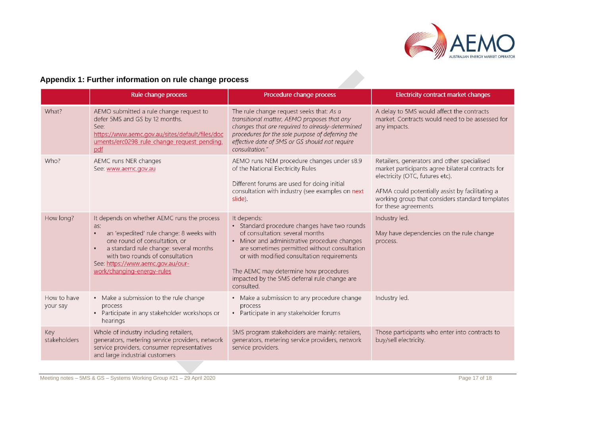

# **Appendix 1: Further information on rule change process**

|                         | Rule change process                                                                                                                                                                                                                                                             | Procedure change process                                                                                                                                                                                                                                                                                                                            | Electricity contract market changes                                                                                                                                                                                                                               |
|-------------------------|---------------------------------------------------------------------------------------------------------------------------------------------------------------------------------------------------------------------------------------------------------------------------------|-----------------------------------------------------------------------------------------------------------------------------------------------------------------------------------------------------------------------------------------------------------------------------------------------------------------------------------------------------|-------------------------------------------------------------------------------------------------------------------------------------------------------------------------------------------------------------------------------------------------------------------|
| What?                   | AEMO submitted a rule change request to<br>defer 5MS and GS by 12 months.<br>See:<br>https://www.aemc.gov.au/sites/default/files/doc<br>uments/erc0298 rule change request pending.<br>pdf                                                                                      | The rule change request seeks that: As a<br>transitional matter, AEMO proposes that any<br>changes that are required to already-determined<br>procedures for the sole purpose of deferring the<br>effective date of 5MS or GS should not require<br>consultation."                                                                                  | A delay to 5MS would affect the contracts<br>market. Contracts would need to be assessed for<br>any impacts.                                                                                                                                                      |
| Who?                    | AEMC runs NER changes<br>See: www.aemc.gov.au                                                                                                                                                                                                                                   | AEMO runs NEM procedure changes under s8.9<br>of the National Electricity Rules<br>Different forums are used for doing initial<br>consultation with industry (see examples on next<br>slide).                                                                                                                                                       | Retailers, generators and other specialised<br>market participants agree bilateral contracts for<br>electricity (OTC, futures etc).<br>AFMA could potentially assist by facilitating a<br>working group that considers standard templates<br>for these agreements |
| How long?               | It depends on whether AEMC runs the process<br>as:<br>an 'expedited' rule change: 8 weeks with<br>one round of consultation, or<br>a standard rule change: several months<br>with two rounds of consultation<br>See: https://www.aemc.gov.au/our-<br>work/changing-energy-rules | It depends:<br>• Standard procedure changes have two rounds<br>of consultation: several months<br>• Minor and administrative procedure changes<br>are sometimes permitted without consultation<br>or with modified consultation requirements<br>The AEMC may determine how procedures<br>impacted by the 5MS deferral rule change are<br>consulted. | Industry led.<br>May have dependencies on the rule change<br>process.                                                                                                                                                                                             |
| How to have<br>your say | • Make a submission to the rule change<br>process<br>• Participate in any stakeholder workshops or<br>hearings                                                                                                                                                                  | • Make a submission to any procedure change<br>process<br>• Participate in any stakeholder forums                                                                                                                                                                                                                                                   | Industry led.                                                                                                                                                                                                                                                     |
| Key<br>stakeholders     | Whole of industry including retailers,<br>generators, metering service providers, network<br>service providers, consumer representatives<br>and large industrial customers                                                                                                      | 5MS program stakeholders are mainly: retailers,<br>generators, metering service providers, network<br>service providers.                                                                                                                                                                                                                            | Those participants who enter into contracts to<br>buy/sell electricity.                                                                                                                                                                                           |